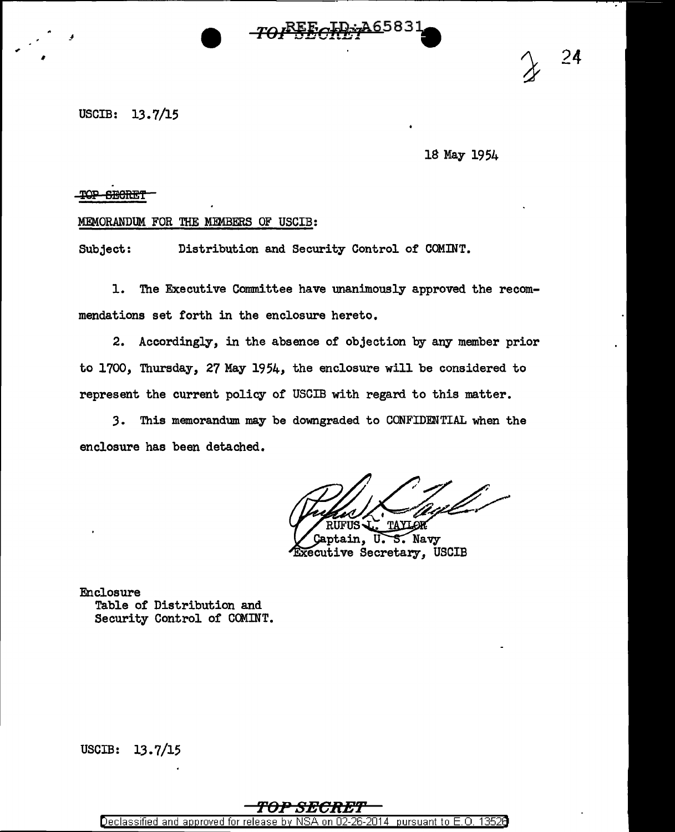

USCIB: 13.7/15

 $\overline{\phantom{a}}$ 

,

18 May 1954

24

## TOP SECRET

## MEMORANDUM FOR THE MEMBERS OF USCIB:

Subject: Distribution and Security Control or COMINT.

1. The Executive Committee have unanimously approved the recommendations set forth in the enclosure hereto.

2. Accordingly, in the absence of objection by any member prior to 1700, Thursday, 27 May 1954, the enclosure will be considered to represent the current policy or USCIB with regard to this matter.

3. This memorandum. may be downgraded to CONFIDENTIAL when the enclosure has been detached.

S. Navy Gaptain, U. Executive Secretary, USCIB

Enclosure Table of Distribution and Security Control of CCMINT.

USCIB: 13.7/15

## **'l'OP SEC:R£f'**

Declassified and approved for release by NSA on 02-26-2014 pursuant to E. 0. 1352B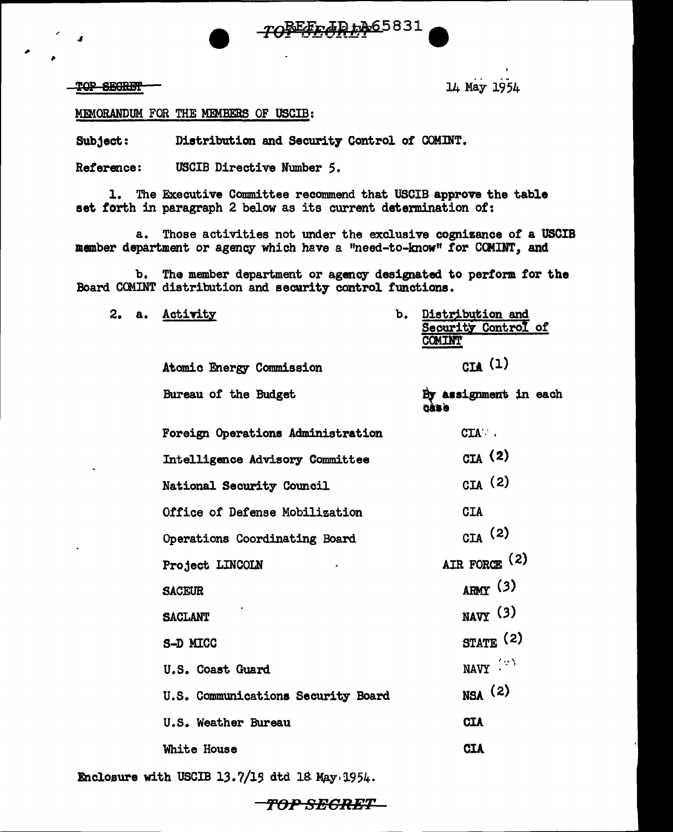## TOP SECRET

 $2.$ 

14 May 1954

MEMORANDUM FOR THE MEMBERS OF USCIB:

Distribution and Security Control of COMINT. Subject:

Reference: USCIB Directive Number 5.

1. The Executive Committee recommend that USCIB approve the table set forth in paragraph 2 below as its current determination of:

a. Those activities not under the exclusive cognizance of a USCIB member department or agency which have a "need-to-know" for COMINT, and

TOBEED AD + A65831

b. The member department or agency designated to perform for the Board COMINT distribution and security control functions.

| a. | <b>Activity</b>                        | b. | Distribution and<br>Security Control of<br><b>COMINT</b> |
|----|----------------------------------------|----|----------------------------------------------------------|
|    | <b>Atomic Energy Commission</b>        |    | CIA $(1)$                                                |
|    | Bureau of the Budget                   |    | By assignment in each<br><b>CÁSA</b>                     |
|    | Foreign Operations Administration      |    | CIA .                                                    |
|    | <b>Intelligence Advisory Committee</b> |    | GLA (2)                                                  |
|    | National Security Council              |    | CIA(2)                                                   |
|    | Office of Defense Mobilization         |    | <b>CIA</b>                                               |
|    | Operations Coordinating Board          |    | $_{\text{CIA}}$ (2)                                      |
|    | Project LINCOLN                        |    | AIR FORCE (2)                                            |
|    | <b>SACEUR</b>                          |    | $A$ RMY (3)                                              |
|    | <b>SACLANT</b>                         |    | $_{\text{NAVY}}$ (3)                                     |
|    | S-D MICC                               |    | $STATE$ (2)                                              |
|    | U.S. Coast Guard                       |    | NAVY (2)                                                 |
|    | U.S. Communications Security Board     |    | $_{NSA}$ (2)                                             |
|    | U.S. Weather Bureau                    |    | <b>CIA</b>                                               |
|    | White House                            |    | <b>CIA</b>                                               |
|    |                                        |    |                                                          |

Enclosure with USCIB 13.7/15 dtd 18 May 1954.

OP SEGRET-